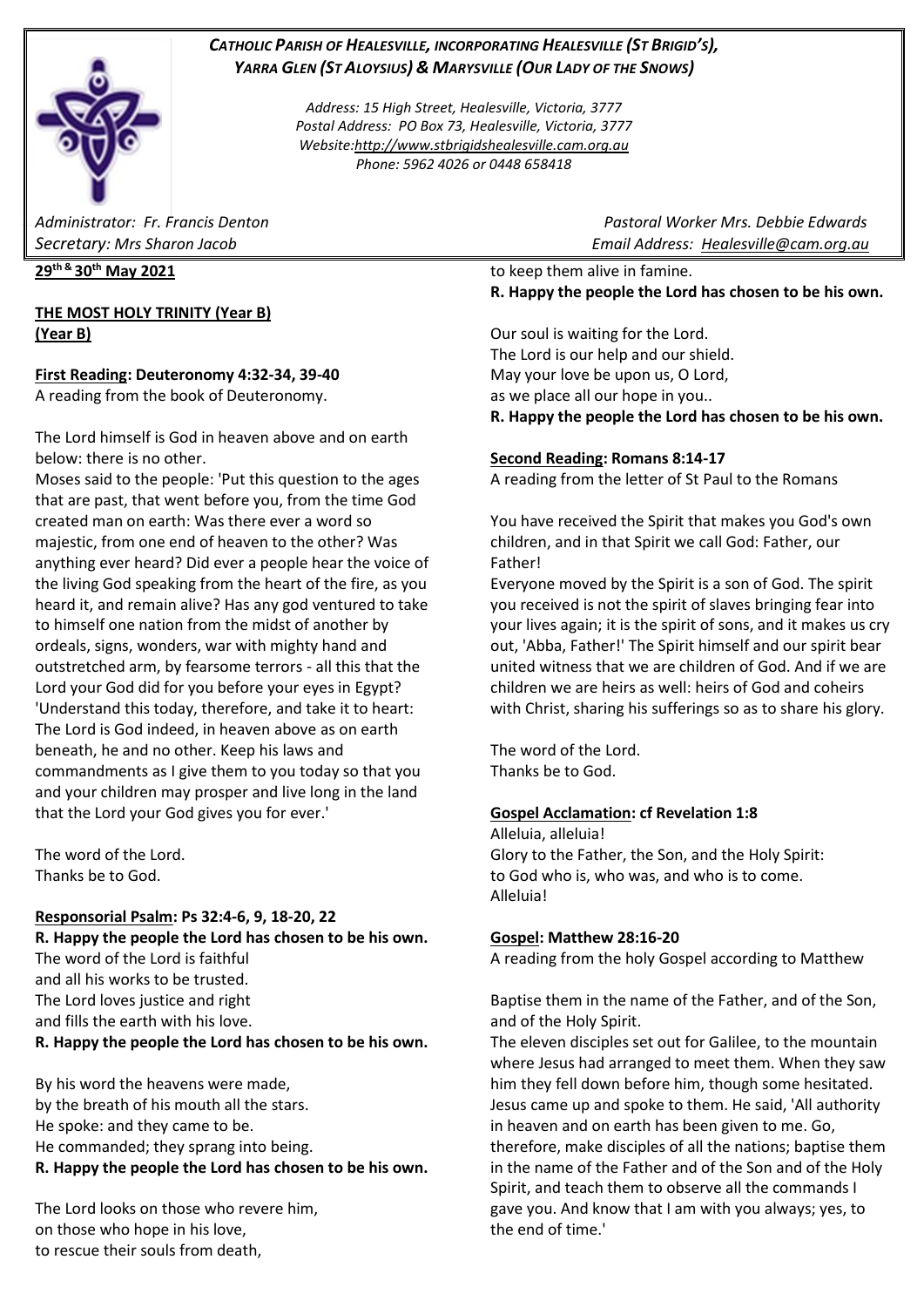## *CATHOLIC PARISH OF HEALESVILLE, INCORPORATING HEALESVILLE (ST BRIGID'S), YARRA GLEN (ST ALOYSIUS) & MARYSVILLE (OUR LADY OF THE SNOWS)*

*Address: 15 High Street, Healesville, Victoria, 3777 Postal Address: PO Box 73, Healesville, Victoria, 3777 Website[:http://www.stbrigidshealesville.cam.org.au](http://www.stbrigidshealesville.cam.org.au/) Phone: 5962 4026 or 0448 658418*

**29th & 30th May 2021**

## **THE MOST HOLY TRINITY (Year B) (Year B)**

## **First Reading: Deuteronomy 4:32-34, 39-40**

A reading from the book of Deuteronomy.

The Lord himself is God in heaven above and on earth below: there is no other.

Moses said to the people: 'Put this question to the ages that are past, that went before you, from the time God created man on earth: Was there ever a word so majestic, from one end of heaven to the other? Was anything ever heard? Did ever a people hear the voice of the living God speaking from the heart of the fire, as you heard it, and remain alive? Has any god ventured to take to himself one nation from the midst of another by ordeals, signs, wonders, war with mighty hand and outstretched arm, by fearsome terrors - all this that the Lord your God did for you before your eyes in Egypt? 'Understand this today, therefore, and take it to heart: The Lord is God indeed, in heaven above as on earth beneath, he and no other. Keep his laws and commandments as I give them to you today so that you and your children may prosper and live long in the land that the Lord your God gives you for ever.'

The word of the Lord. Thanks be to God.

#### **Responsorial Psalm: Ps 32:4-6, 9, 18-20, 22**

**R. Happy the people the Lord has chosen to be his own.** The word of the Lord is faithful and all his works to be trusted. The Lord loves justice and right and fills the earth with his love. **R. Happy the people the Lord has chosen to be his own.**

By his word the heavens were made, by the breath of his mouth all the stars. He spoke: and they came to be. He commanded; they sprang into being. **R. Happy the people the Lord has chosen to be his own.**

The Lord looks on those who revere him, on those who hope in his love, to rescue their souls from death,

*Administrator: Fr. Francis Denton Pastoral Worker Mrs. Debbie Edwards Secretary: Mrs Sharon Jacob Email Address: [Healesville@cam.org.au](mailto:Healesville@cam.org.au)* 

> to keep them alive in famine. **R. Happy the people the Lord has chosen to be his own.**

> Our soul is waiting for the Lord. The Lord is our help and our shield. May your love be upon us, O Lord, as we place all our hope in you.. **R. Happy the people the Lord has chosen to be his own.**

## **Second Reading: Romans 8:14-17**

A reading from the letter of St Paul to the Romans

You have received the Spirit that makes you God's own children, and in that Spirit we call God: Father, our Father!

Everyone moved by the Spirit is a son of God. The spirit you received is not the spirit of slaves bringing fear into your lives again; it is the spirit of sons, and it makes us cry out, 'Abba, Father!' The Spirit himself and our spirit bear united witness that we are children of God. And if we are children we are heirs as well: heirs of God and coheirs with Christ, sharing his sufferings so as to share his glory.

The word of the Lord. Thanks be to God.

#### **Gospel Acclamation: cf Revelation 1:8**

Alleluia, alleluia! Glory to the Father, the Son, and the Holy Spirit: to God who is, who was, and who is to come. Alleluia!

## **Gospel: Matthew 28:16-20**

A reading from the holy Gospel according to Matthew

Baptise them in the name of the Father, and of the Son, and of the Holy Spirit.

The eleven disciples set out for Galilee, to the mountain where Jesus had arranged to meet them. When they saw him they fell down before him, though some hesitated. Jesus came up and spoke to them. He said, 'All authority in heaven and on earth has been given to me. Go, therefore, make disciples of all the nations; baptise them in the name of the Father and of the Son and of the Holy Spirit, and teach them to observe all the commands I gave you. And know that I am with you always; yes, to the end of time.'

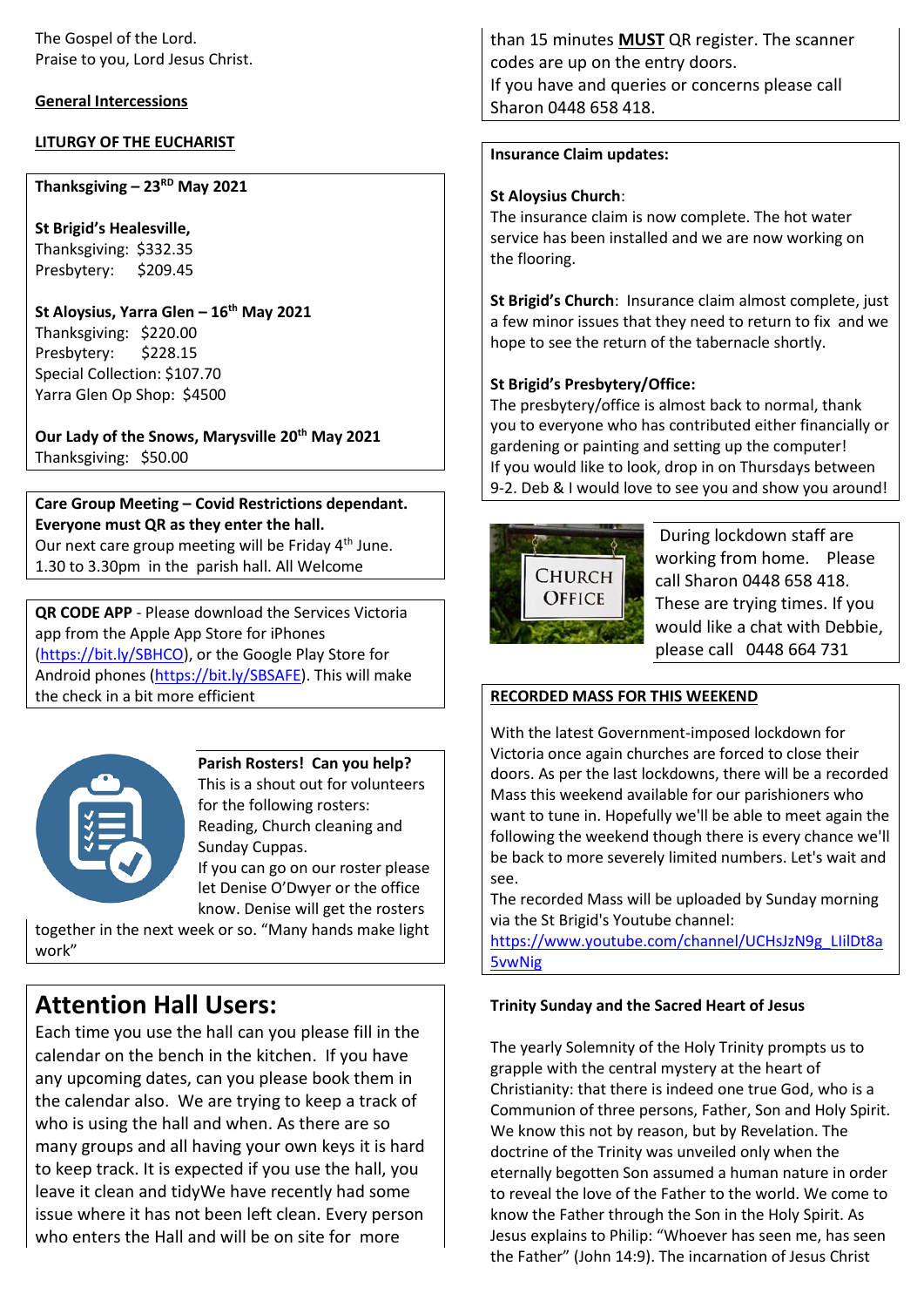#### **General Intercessions**

#### **LITURGY OF THE EUCHARIST**

## **Thanksgiving – 23RD May 2021**

**St Brigid's Healesville,**  Thanksgiving: \$332.35 Presbytery: \$209.45

## **St Aloysius, Yarra Glen – 16th May 2021**

Thanksgiving: \$220.00 Presbytery: \$228.15 Special Collection: \$107.70 Yarra Glen Op Shop: \$4500

**Our Lady of the Snows, Marysville 20th May 2021**  Thanksgiving: \$50.00

## **Care Group Meeting – Covid Restrictions dependant. Everyone must QR as they enter the hall.**

Our next care group meeting will be Friday 4<sup>th</sup> June. 1.30 to 3.30pm in the parish hall. All Welcome

**QR CODE APP** - Please download the Services Victoria app from the Apple App Store for iPhones [\(https://bit.ly/SBHCO\)](https://bit.ly/SBHCO), or the Google Play Store for Android phones [\(https://bit.ly/SBSAFE\)](https://bit.ly/SBSAFE). This will make the check in a bit more efficient



**Parish Rosters! Can you help?** This is a shout out for volunteers for the following rosters:

Reading, Church cleaning and Sunday Cuppas. If you can go on our roster please

let Denise O'Dwyer or the office know. Denise will get the rosters

together in the next week or so. "Many hands make light work"

# **Attention Hall Users:**

Each time you use the hall can you please fill in the calendar on the bench in the kitchen. If you have any upcoming dates, can you please book them in the calendar also. We are trying to keep a track of who is using the hall and when. As there are so many groups and all having your own keys it is hard to keep track. It is expected if you use the hall, you leave it clean and tidyWe have recently had some issue where it has not been left clean. Every person who enters the Hall and will be on site for more

than 15 minutes **MUST** QR register. The scanner codes are up on the entry doors. If you have and queries or concerns please call Sharon 0448 658 418.

#### **Insurance Claim updates:**

#### **St Aloysius Church**:

The insurance claim is now complete. The hot water service has been installed and we are now working on the flooring.

**St Brigid's Church**: Insurance claim almost complete, just a few minor issues that they need to return to fix and we hope to see the return of the tabernacle shortly.

## **St Brigid's Presbytery/Office:**

The presbytery/office is almost back to normal, thank you to everyone who has contributed either financially or gardening or painting and setting up the computer! If you would like to look, drop in on Thursdays between 9-2. Deb & I would love to see you and show you around!



During lockdown staff are working from home. Please call Sharon 0448 658 418. These are trying times. If you would like a chat with Debbie, please call 0448 664 731

#### **RECORDED MASS FOR THIS WEEKEND**

With the latest Government-imposed lockdown for Victoria once again churches are forced to close their doors. As per the last lockdowns, there will be a recorded Mass this weekend available for our parishioners who want to tune in. Hopefully we'll be able to meet again the following the weekend though there is every chance we'll be back to more severely limited numbers. Let's wait and see.

The recorded Mass will be uploaded by Sunday morning via the St Brigid's Youtube channel:

[https://www.youtube.com/channel/UCHsJzN9g\\_LIilDt8a](https://www.youtube.com/channel/UCHsJzN9g_LIilDt8a5vwNig) [5vwNig](https://www.youtube.com/channel/UCHsJzN9g_LIilDt8a5vwNig)

#### **Trinity Sunday and the Sacred Heart of Jesus**

The yearly Solemnity of the Holy Trinity prompts us to grapple with the central mystery at the heart of Christianity: that there is indeed one true God, who is a Communion of three persons, Father, Son and Holy Spirit. We know this not by reason, but by Revelation. The doctrine of the Trinity was unveiled only when the eternally begotten Son assumed a human nature in order to reveal the love of the Father to the world. We come to know the Father through the Son in the Holy Spirit. As Jesus explains to Philip: "Whoever has seen me, has seen the Father" (John 14:9). The incarnation of Jesus Christ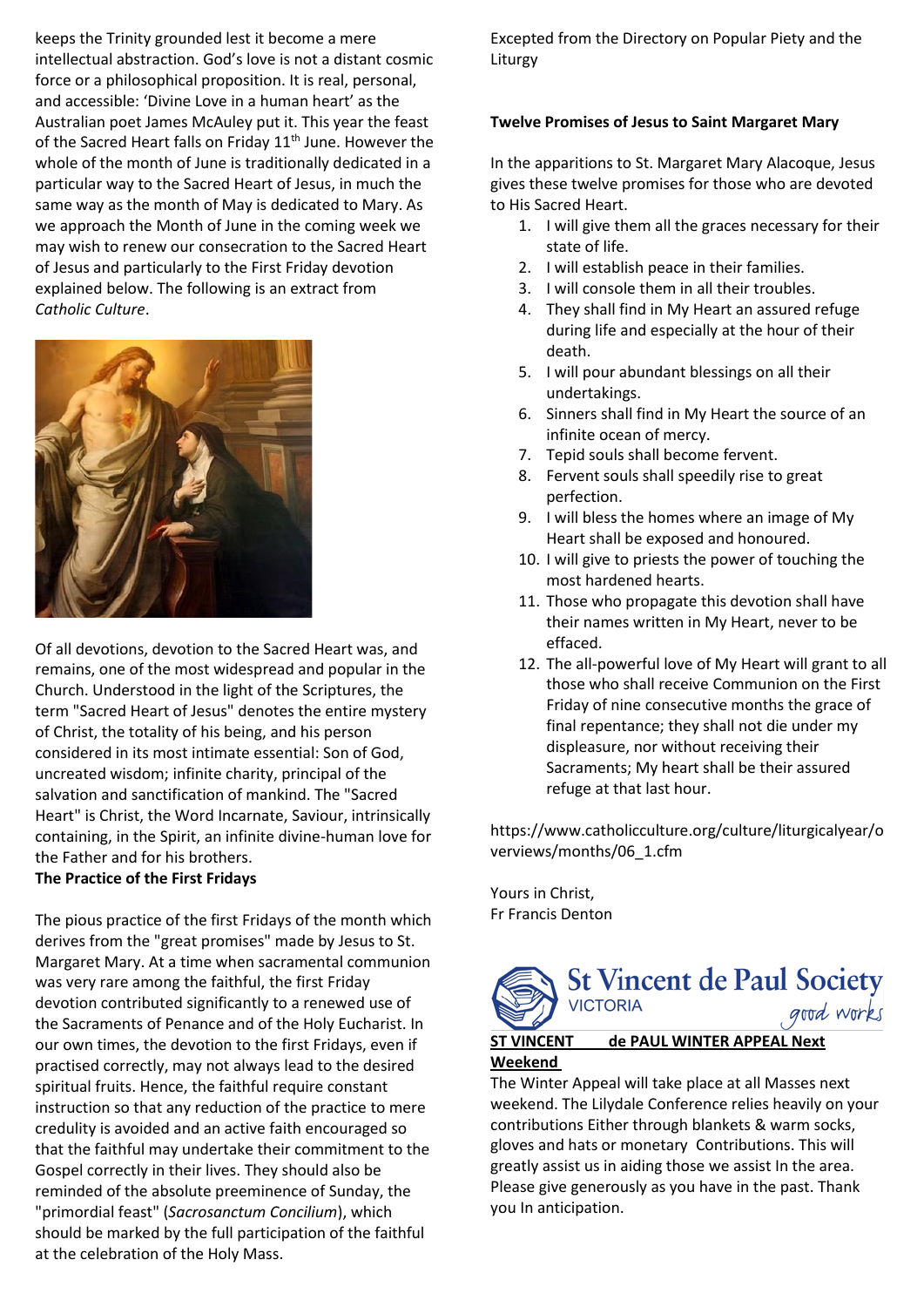keeps the Trinity grounded lest it become a mere intellectual abstraction. God's love is not a distant cosmic force or a philosophical proposition. It is real, personal, and accessible: 'Divine Love in a human heart' as the Australian poet James McAuley put it. This year the feast of the Sacred Heart falls on Friday  $11<sup>th</sup>$  June. However the whole of the month of June is traditionally dedicated in a particular way to the Sacred Heart of Jesus, in much the same way as the month of May is dedicated to Mary. As we approach the Month of June in the coming week we may wish to renew our consecration to the Sacred Heart of Jesus and particularly to the First Friday devotion explained below. The following is an extract from *Catholic Culture*.



Of all devotions, devotion to the Sacred Heart was, and remains, one of the most widespread and popular in the Church. Understood in the light of the Scriptures, the term "Sacred Heart of Jesus" denotes the entire mystery of Christ, the totality of his being, and his person considered in its most intimate essential: Son of God, uncreated wisdom; infinite charity, principal of the salvation and sanctification of mankind. The "Sacred Heart" is Christ, the Word Incarnate, Saviour, intrinsically containing, in the Spirit, an infinite divine-human love for the Father and for his brothers.

#### **The Practice of the First Fridays**

The pious practice of the first Fridays of the month which derives from the "great promises" made by Jesus to St. Margaret Mary. At a time when sacramental communion was very rare among the faithful, the first Friday devotion contributed significantly to a renewed use of the Sacraments of Penance and of the Holy Eucharist. In our own times, the devotion to the first Fridays, even if practised correctly, may not always lead to the desired spiritual fruits. Hence, the faithful require constant instruction so that any reduction of the practice to mere credulity is avoided and an active faith encouraged so that the faithful may undertake their commitment to the Gospel correctly in their lives. They should also be reminded of the absolute preeminence of Sunday, the "primordial feast" (*Sacrosanctum Concilium*), which should be marked by the full participation of the faithful at the celebration of the Holy Mass.

Excepted from the Directory on Popular Piety and the Liturgy

#### **Twelve Promises of Jesus to Saint Margaret Mary**

In the apparitions to St. Margaret Mary Alacoque, Jesus gives these twelve promises for those who are devoted to His Sacred Heart.

- 1. I will give them all the graces necessary for their state of life.
- 2. I will establish peace in their families.
- 3. I will console them in all their troubles.
- 4. They shall find in My Heart an assured refuge during life and especially at the hour of their death.
- 5. I will pour abundant blessings on all their undertakings.
- 6. Sinners shall find in My Heart the source of an infinite ocean of mercy.
- 7. Tepid souls shall become fervent.
- 8. Fervent souls shall speedily rise to great perfection.
- 9. I will bless the homes where an image of My Heart shall be exposed and honoured.
- 10. I will give to priests the power of touching the most hardened hearts.
- 11. Those who propagate this devotion shall have their names written in My Heart, never to be effaced.
- 12. The all-powerful love of My Heart will grant to all those who shall receive Communion on the First Friday of nine consecutive months the grace of final repentance; they shall not die under my displeasure, nor without receiving their Sacraments; My heart shall be their assured refuge at that last hour.

https://www.catholicculture.org/culture/liturgicalyear/o verviews/months/06\_1.cfm

Yours in Christ, Fr Francis Denton



The Winter Appeal will take place at all Masses next weekend. The Lilydale Conference relies heavily on your contributions Either through blankets & warm socks, gloves and hats or monetary Contributions. This will greatly assist us in aiding those we assist In the area. Please give generously as you have in the past. Thank you In anticipation.